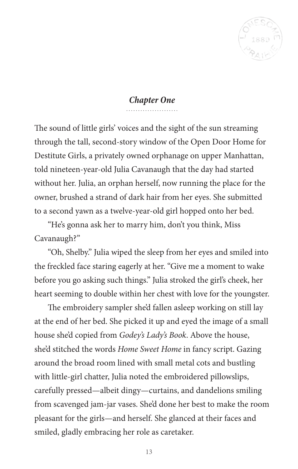

## *Chapter One*

The sound of little girls' voices and the sight of the sun streaming through the tall, second-story window of the Open Door Home for Destitute Girls, a privately owned orphanage on upper Manhattan, told nineteen-year-old Julia Cavanaugh that the day had started without her. Julia, an orphan herself, now running the place for the owner, brushed a strand of dark hair from her eyes. She submitted to a second yawn as a twelve-year-old girl hopped onto her bed.

"He's gonna ask her to marry him, don't you think, Miss Cavanaugh?"

"Oh, Shelby." Julia wiped the sleep from her eyes and smiled into the freckled face staring eagerly at her. "Give me a moment to wake before you go asking such things." Julia stroked the girl's cheek, her heart seeming to double within her chest with love for the youngster.

The embroidery sampler she'd fallen asleep working on still lay at the end of her bed. She picked it up and eyed the image of a small house she'd copied from *Godey's Lady's Book*. Above the house, she'd stitched the words *Home Sweet Home* in fancy script. Gazing around the broad room lined with small metal cots and bustling with little-girl chatter, Julia noted the embroidered pillowslips, carefully pressed—albeit dingy—curtains, and dandelions smiling from scavenged jam-jar vases. She'd done her best to make the room pleasant for the girls—and herself. She glanced at their faces and smiled, gladly embracing her role as caretaker.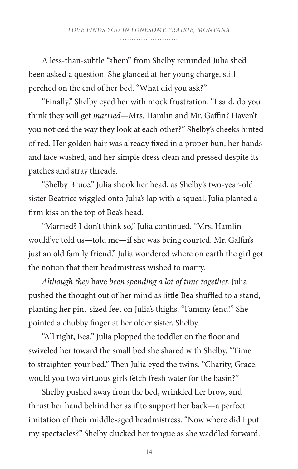A less-than-subtle "ahem" from Shelby reminded Julia she'd been asked a question. She glanced at her young charge, still perched on the end of her bed. "What did you ask?"

"Finally." Shelby eyed her with mock frustration. "I said, do you think they will get *married*—Mrs. Hamlin and Mr. Gaffin? Haven't you noticed the way they look at each other?" Shelby's cheeks hinted of red. Her golden hair was already fixed in a proper bun, her hands and face washed, and her simple dress clean and pressed despite its patches and stray threads.

"Shelby Bruce." Julia shook her head, as Shelby's two-year-old sister Beatrice wiggled onto Julia's lap with a squeal. Julia planted a firm kiss on the top of Bea's head.

"Married? I don't think so," Julia continued. "Mrs. Hamlin would've told us—told me—if she was being courted. Mr. Gaffin's just an old family friend." Julia wondered where on earth the girl got the notion that their headmistress wished to marry.

*Although they* have *been spending a lot of time together.* Julia pushed the thought out of her mind as little Bea shuffled to a stand, planting her pint-sized feet on Julia's thighs. "Fammy fend!" She pointed a chubby finger at her older sister, Shelby.

"All right, Bea." Julia plopped the toddler on the floor and swiveled her toward the small bed she shared with Shelby. "Time to straighten your bed." Then Julia eyed the twins. "Charity, Grace, would you two virtuous girls fetch fresh water for the basin?"

 Shelby pushed away from the bed, wrinkled her brow, and thrust her hand behind her as if to support her back—a perfect imitation of their middle-aged headmistress. "Now where did I put my spectacles?" Shelby clucked her tongue as she waddled forward.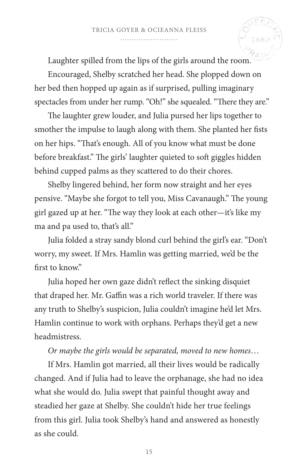Laughter spilled from the lips of the girls around the room.

 Encouraged, Shelby scratched her head. She plopped down on her bed then hopped up again as if surprised, pulling imaginary spectacles from under her rump. "Oh!" she squealed. "There they are."

The laughter grew louder, and Julia pursed her lips together to smother the impulse to laugh along with them. She planted her fists on her hips. "That's enough. All of you know what must be done before breakfast." The girls' laughter quieted to soft giggles hidden behind cupped palms as they scattered to do their chores.

 Shelby lingered behind, her form now straight and her eyes pensive. "Maybe she forgot to tell you, Miss Cavanaugh." The young girl gazed up at her. "The way they look at each other—it's like my ma and pa used to, that's all."

Julia folded a stray sandy blond curl behind the girl's ear. "Don't worry, my sweet. If Mrs. Hamlin was getting married, we'd be the first to know."

Julia hoped her own gaze didn't reflect the sinking disquiet that draped her. Mr. Gaffin was a rich world traveler. If there was any truth to Shelby's suspicion, Julia couldn't imagine he'd let Mrs. Hamlin continue to work with orphans. Perhaps they'd get a new headmistress.

## *Or maybe the girls would be separated, moved to new homes*…

If Mrs. Hamlin got married, all their lives would be radically changed. And if Julia had to leave the orphanage, she had no idea what she would do. Julia swept that painful thought away and steadied her gaze at Shelby. She couldn't hide her true feelings from this girl. Julia took Shelby's hand and answered as honestly as she could.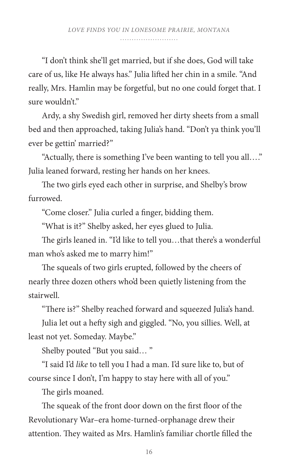## "I don't think she'll get married, but if she does, God will take care of us, like He always has." Julia lifted her chin in a smile. "And really, Mrs. Hamlin may be forgetful, but no one could forget that. I sure wouldn't."

 Ardy, a shy Swedish girl, removed her dirty sheets from a small bed and then approached, taking Julia's hand. "Don't ya think you'll ever be gettin' married?"

"Actually, there is something I've been wanting to tell you all…." Julia leaned forward, resting her hands on her knees.

The two girls eyed each other in surprise, and Shelby's brow furrowed.

"Come closer." Julia curled a finger, bidding them.

"What is it?" Shelby asked, her eyes glued to Julia.

The girls leaned in. "I'd like to tell you...that there's a wonderful man who's asked me to marry him!"

The squeals of two girls erupted, followed by the cheers of nearly three dozen others who'd been quietly listening from the stairwell.

"There is?" Shelby reached forward and squeezed Julia's hand.

Julia let out a hefty sigh and giggled. "No, you sillies. Well, at least not yet. Someday. Maybe."

Shelby pouted "But you said… "

"I said I'd *like* to tell you I had a man. I'd sure like to, but of course since I don't, I'm happy to stay here with all of you."

The girls moaned.

The squeak of the front door down on the first floor of the Revolutionary War–era home-turned-orphanage drew their attention. They waited as Mrs. Hamlin's familiar chortle filled the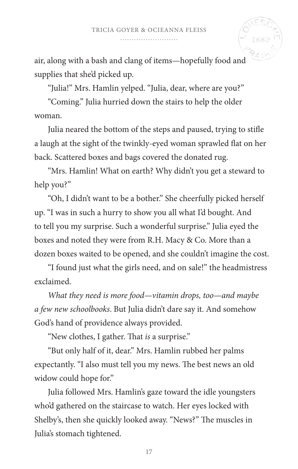air, along with a bash and clang of items—hopefully food and supplies that she'd picked up.

"Julia!" Mrs. Hamlin yelped. "Julia, dear, where are you?"

"Coming." Julia hurried down the stairs to help the older woman.

Julia neared the bottom of the steps and paused, trying to stifle a laugh at the sight of the twinkly-eyed woman sprawled flat on her back. Scattered boxes and bags covered the donated rug.

"Mrs. Hamlin! What on earth? Why didn't you get a steward to help you?"

"Oh, I didn't want to be a bother." She cheerfully picked herself up. "I was in such a hurry to show you all what I'd bought. And to tell you my surprise. Such a wonderful surprise." Julia eyed the boxes and noted they were from R.H. Macy & Co. More than a dozen boxes waited to be opened, and she couldn't imagine the cost.

"I found just what the girls need, and on sale!" the headmistress exclaimed.

*What they need is more food—vitamin drops, too—and maybe a few new schoolbooks*. But Julia didn't dare say it. And somehow God's hand of providence always provided.

"New clothes, I gather. That *is* a surprise."

"But only half of it, dear." Mrs. Hamlin rubbed her palms expectantly. "I also must tell you my news. The best news an old widow could hope for."

Julia followed Mrs. Hamlin's gaze toward the idle youngsters who'd gathered on the staircase to watch. Her eyes locked with Shelby's, then she quickly looked away. "News?" The muscles in Julia's stomach tightened.